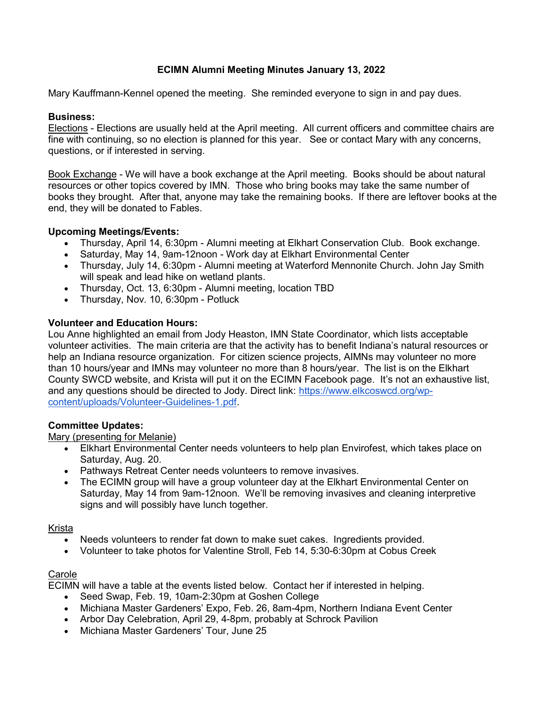# ECIMN Alumni Meeting Minutes January 13, 2022

Mary Kauffmann-Kennel opened the meeting. She reminded everyone to sign in and pay dues.

#### Business:

Elections - Elections are usually held at the April meeting. All current officers and committee chairs are fine with continuing, so no election is planned for this year. See or contact Mary with any concerns, questions, or if interested in serving.

Book Exchange - We will have a book exchange at the April meeting. Books should be about natural resources or other topics covered by IMN. Those who bring books may take the same number of books they brought. After that, anyone may take the remaining books. If there are leftover books at the end, they will be donated to Fables.

## Upcoming Meetings/Events:

- Thursday, April 14, 6:30pm Alumni meeting at Elkhart Conservation Club. Book exchange.
- Saturday, May 14, 9am-12noon Work day at Elkhart Environmental Center
- Thursday, July 14, 6:30pm Alumni meeting at Waterford Mennonite Church. John Jay Smith will speak and lead hike on wetland plants.
- Thursday, Oct. 13, 6:30pm Alumni meeting, location TBD
- Thursday, Nov. 10, 6:30pm Potluck

#### Volunteer and Education Hours:

Lou Anne highlighted an email from Jody Heaston, IMN State Coordinator, which lists acceptable volunteer activities. The main criteria are that the activity has to benefit Indiana's natural resources or help an Indiana resource organization. For citizen science projects, AIMNs may volunteer no more than 10 hours/year and IMNs may volunteer no more than 8 hours/year. The list is on the Elkhart County SWCD website, and Krista will put it on the ECIMN Facebook page. It's not an exhaustive list, and any questions should be directed to Jody. Direct link: https://www.elkcoswcd.org/wpcontent/uploads/Volunteer-Guidelines-1.pdf.

## Committee Updates:

#### Mary (presenting for Melanie)

- Elkhart Environmental Center needs volunteers to help plan Envirofest, which takes place on Saturday, Aug. 20.
- Pathways Retreat Center needs volunteers to remove invasives.
- The ECIMN group will have a group volunteer day at the Elkhart Environmental Center on Saturday, May 14 from 9am-12noon. We'll be removing invasives and cleaning interpretive signs and will possibly have lunch together.

#### Krista

- Needs volunteers to render fat down to make suet cakes. Ingredients provided.
- Volunteer to take photos for Valentine Stroll, Feb 14, 5:30-6:30pm at Cobus Creek

## Carole

ECIMN will have a table at the events listed below. Contact her if interested in helping.

- Seed Swap, Feb. 19, 10am-2:30pm at Goshen College
- Michiana Master Gardeners' Expo, Feb. 26, 8am-4pm, Northern Indiana Event Center
- Arbor Day Celebration, April 29, 4-8pm, probably at Schrock Pavilion
- Michiana Master Gardeners' Tour, June 25